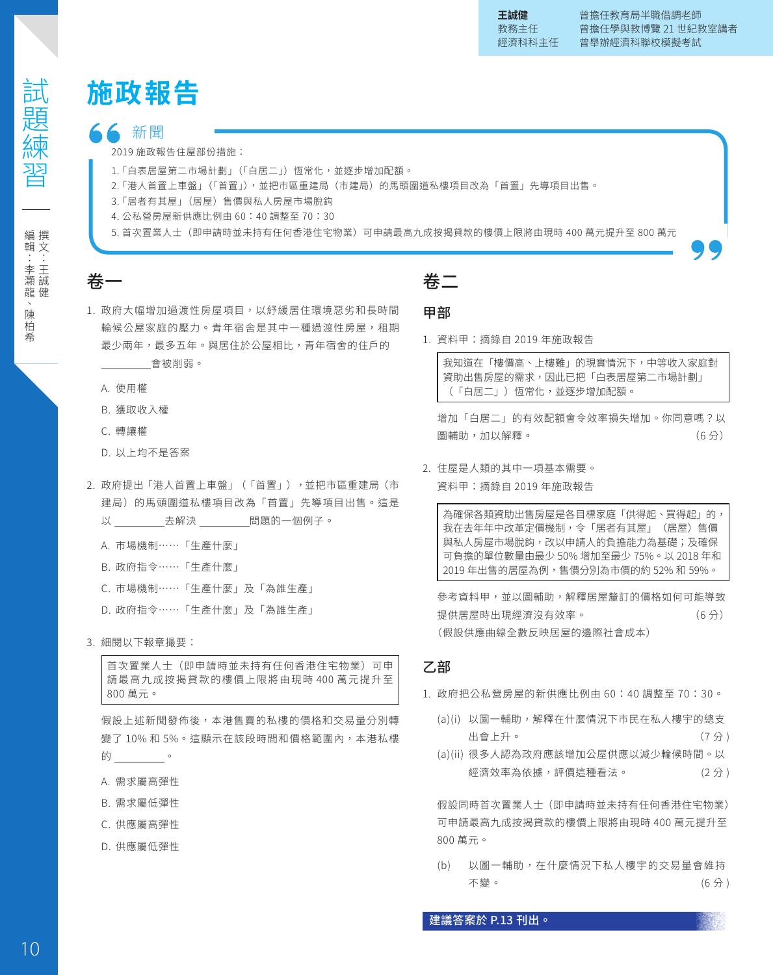# **施政報告**

#### 新聞

2019 施政報告住屋部份措施:

- 1.「白表居屋第二市場計劃」(「白居二」) 恆常化,並逐步增加配額。
- 2.「港人首置上車盤」(「首置」),並把市區重建局(市建局)的馬頭圍道私樓項目改為「首置」先導項目出售。
- 3.「居者有其屋」(居屋)售價與私人房屋市場脫鈎
- 4. 公私營房屋新供應比例由 60:40 調整至 70:30
- 5. 首次置業人士(即申請時並未持有任何香港住宅物業)可申請最高九成按揭貸款的樓價上限將由現時 400 萬元提升至 800 萬元

## 卷一

- 1. 政府大幅增加過渡性房屋項目,以紓緩居住環境惡劣和長時間 輪候公屋家庭的壓力。青年宿舍是其中一種過渡性房屋,租期 最少兩年,最多五年。與居住於公屋相比,青年宿舍的住戶的 會被削弱。
	- A. 使用權
	- B. 獲取收入權
	- C. 轉讓權
	- D. 以上均不是答案
- 2. 政府提出「港人首置上車盤」(「首置」),並把市區重建局(市 建局)的馬頭圍道私樓項目改為「首置」先導項目出售。這是 以 \_\_\_\_\_\_\_\_\_\_\_\_\_\_\_\_\_\_\_\_\_\_\_\_\_問題的一個例子。
	- A. 市場機制……「生產什麼」
	- B. 政府指令……「生產什麼」
	- C. 市場機制……「生產什麼」及「為誰生產」
	- D. 政府指令……「生產什麼」及「為誰生產」

#### 3. 細閱以下報章撮要:

首次置業人士(即申請時並未持有任何香港住宅物業)可申 請最高九成按揭貸款的樓價上限將由現時 400 萬元提升至 800 萬元。

假設上述新聞發佈後,本港售賣的私樓的價格和交易量分別轉 變了 10% 和 5%。這顯示在該段時間和價格範圍內,本港私樓 的\_\_\_\_\_\_\_\_\_\_\_。

- A. 需求屬高彈性
- B. 需求屬低彈性
- C. 供應屬高彈性
- D. 供應屬低彈性

## 卷二

#### 甲部

1. 資料甲:摘錄自 2019 年施政報告

我知道在「樓價高、上樓難」的現實情況下,中等收入家庭對 資助出售房屋的需求,因此已把「白表居屋第二市場計劃」 (「白居二」) 恆常化,並逐步增加配額。

增加「白居二」的有效配額會令效率損失增加。你同意嗎?以 圖輔助,加以解釋。 いっこう しょうしょう しゅうしょく (6分)

2. 住屋是人類的其中一項基本需要。

資料甲:摘錄自 2019 年施政報告

為確保各類資助出售房屋是各目標家庭「供得起、買得起」的, 我在去年年中改革定價機制,令「居者有其屋」(居屋)售價 與私人房屋市場脫鈎,改以申請人的負擔能力為基礎;及確保 可負擔的單位數量由最少 50% 增加至最少 75%。以 2018 年和 2019 年出售的居屋為例,售價分別為市價的約 52% 和 59%。

參考資料甲,並以圖輔助,解釋居屋釐訂的價格如何可能導致 提供居屋時出現經濟沒有效率。 (6 分) (假設供應曲線全數反映居屋的邊際社會成本)

#### 乙部

- 1. 政府把公私營房屋的新供應比例由 60:40 調整至 70:30。
	- (a)(i) 以圖一輔助,解釋在什麼情況下市民在私人樓宇的總支 出會上升。 (7 分 )
	- (a)(ii) 很多人認為政府應該增加公屋供應以減少輪候時間。以 經濟效率為依據,評價這種看法。 (2分)

假設同時首次置業人士(即申請時並未持有任何香港住宅物業) 可申請最高九成按揭貸款的樓價上限將由現時 400 萬元提升至 800 萬元。

(b) 以圖一輔助,在什麼情況下私人樓宇的交易量會維持 不變。 いっちゃく しゅうしょう (6 分 )

建議答案於 P.13 刊出。

試題練習 | 日||七/左武「习||上/一/ 編輯:李灝龍、陳柏希 編撰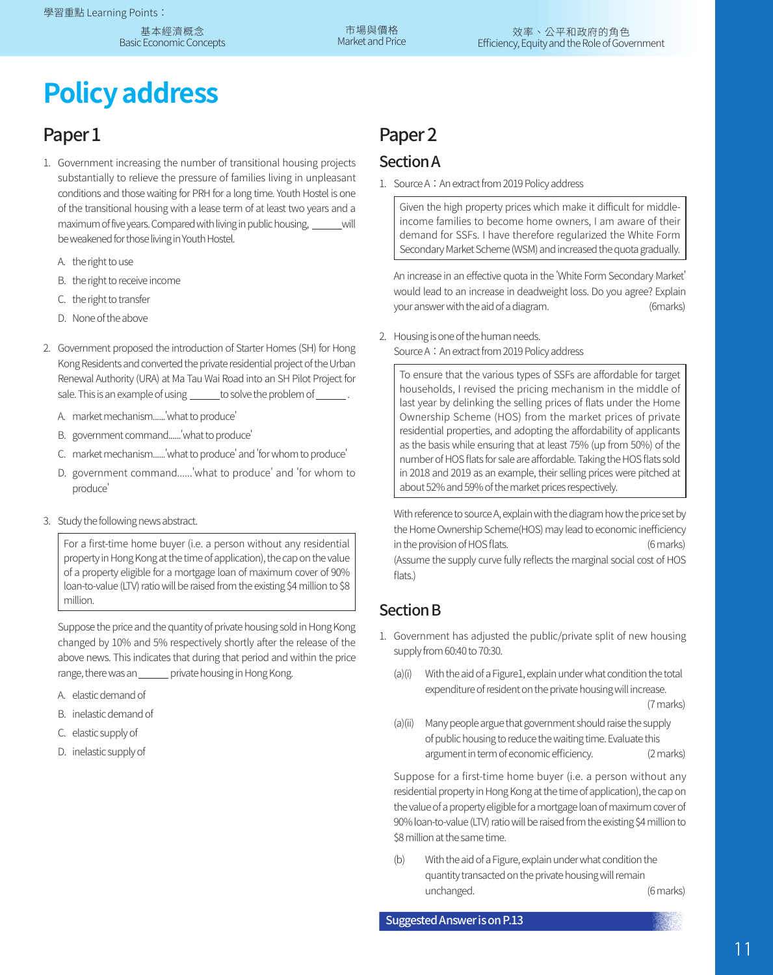# **Policy address**

### Paper 1

- 1. Government increasing the number of transitional housing projects substantially to relieve the pressure of families living in unpleasant conditions and those waiting for PRH for a long time. Youth Hostel is one of the transitional housing with a lease term of at least two years and a maximum of five years. Compared with living in public housing, will be weakened for those living in Youth Hostel.
	- A. the right to use
	- B. the right to receive income
	- C. the right to transfer
	- D. None of the above
- 2. Government proposed the introduction of Starter Homes (SH) for Hong Kong Residents and converted the private residential project of the Urban Renewal Authority (URA) at Ma Tau Wai Road into an SH Pilot Project for sale. This is an example of using \_\_\_\_\_\_ to solve the problem of \_\_\_\_\_\_\_.
	- A. market mechanism......'what to produce'
	- B. government command......'what to produce'
	- C. market mechanism......'what to produce' and 'for whom to produce'
	- D. government command......'what to produce' and 'for whom to produce'
- 3. Study the following news abstract.

For a first-time home buyer (i.e. a person without any residential property in Hong Kong at the time of application), the cap on the value of a property eligible for a mortgage loan of maximum cover of 90% loan-to-value (LTV) ratio will be raised from the existing \$4 million to \$8 million.

Suppose the price and the quantity of private housing sold in Hong Kong changed by 10% and 5% respectively shortly after the release of the above news. This indicates that during that period and within the price range, there was an \_\_\_\_\_\_ private housing in Hong Kong.

- A. elastic demand of
- B. inelastic demand of
- C. elastic supply of
- D. inelastic supply of

# Paper 2

#### Section A

1. Source A: An extract from 2019 Policy address

Given the high property prices which make it difficult for middleincome families to become home owners, I am aware of their demand for SSFs. I have therefore regularized the White Form Secondary Market Scheme (WSM) and increased the quota gradually.

An increase in an effective quota in the 'White Form Secondary Market' would lead to an increase in deadweight loss. Do you agree? Explain your answer with the aid of a diagram. (6marks)

2. Housing is one of the human needs. Source A: An extract from 2019 Policy address

To ensure that the various types of SSFs are affordable for target households, I revised the pricing mechanism in the middle of last year by delinking the selling prices of flats under the Home Ownership Scheme (HOS) from the market prices of private residential properties, and adopting the affordability of applicants as the basis while ensuring that at least 75% (up from 50%) of the number of HOS flats for sale are affordable. Taking the HOS flats sold in 2018 and 2019 as an example, their selling prices were pitched at about 52% and 59% of the market prices respectively.

With reference to source A, explain with the diagram how the price set by the Home Ownership Scheme(HOS) may lead to economic inefficiency in the provision of HOS flats. (6 marks) (Assume the supply curve fully reflects the marginal social cost of HOS flats.)

#### Section B

- 1. Government has adjusted the public/private split of new housing supply from 60:40 to 70:30.
	- (a)(i) With the aid of a Figure1, explain under what condition the total expenditure of resident on the private housing will increase. (7 marks)
	- (a)(ii) Many people argue that government should raise the supply of public housing to reduce the waiting time. Evaluate this argument in term of economic efficiency. (2 marks)

Suppose for a first-time home buyer (i.e. a person without any residential property in Hong Kong at the time of application), the cap on the value of a property eligible for a mortgage loan of maximum cover of 90% loan-to-value (LTV) ratio will be raised from the existing \$4 million to \$8 million at the same time.

(b) With the aid of a Figure, explain under what condition the quantity transacted on the private housing will remain unchanged. (6 marks)

11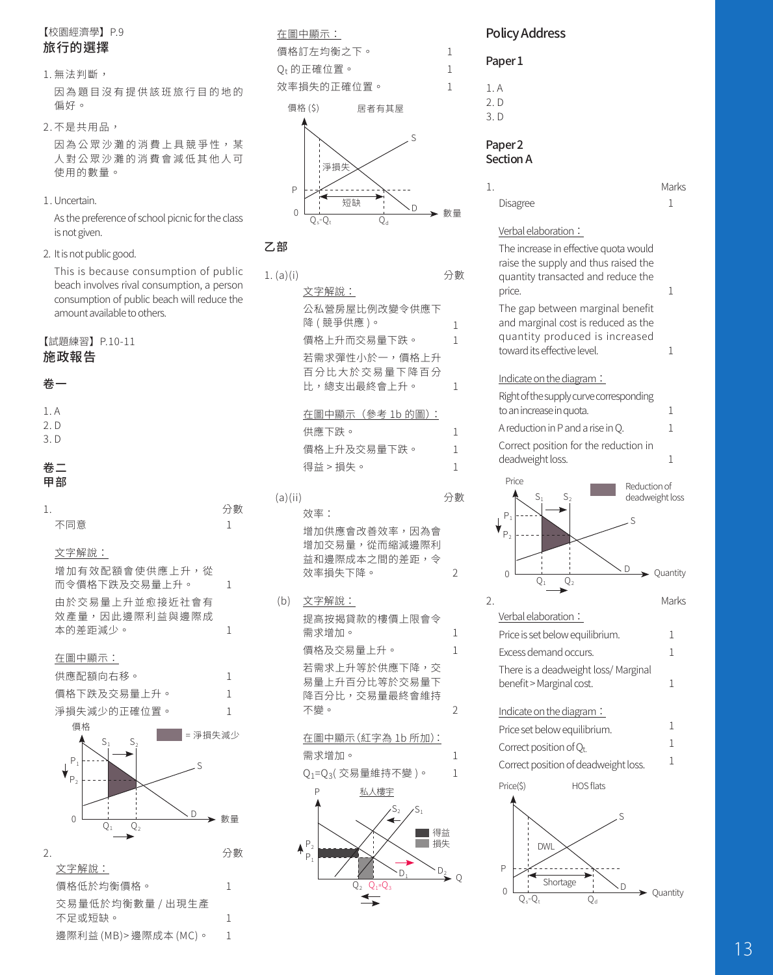#### 【校園經濟學】P.9 旅行的選擇

#### 1. 無法判斷,

因為題目沒有提供該班旅行目的地的 偏好。

2. 不是共用品,

因為公眾沙灘的消費上具競爭性,某 人對公眾沙灘的消費會減低其他人可 使用的數量。

1. Uncertain.

As the preference of school picnic for the class is not given.

2. It is not public good.

This is because consumption of public beach involves rival consumption, a person consumption of public beach will reduce the amount available to others.

#### 【試題練習】P.10-11

#### 施政報告

#### 卷一

- 1. A
- 2. D
- 3. D

#### 卷二 甲部

| 1. |                                                                                           | 分數           |
|----|-------------------------------------------------------------------------------------------|--------------|
|    | 不同意                                                                                       | 1            |
|    | 文字解說:                                                                                     |              |
|    | 增加有效配額會使供應上升,從<br>而令價格下跌及交易暈上升。                                                           | $\mathbf{1}$ |
|    | 中於交易量 上升並愈接折社會有<br>效產量,因此邊際利益與邊際成                                                         |              |
|    | 本的差距減少。                                                                                   | 1            |
|    | 在圖中顯示:                                                                                    |              |
|    | 供應配額向右移。                                                                                  | 1            |
|    | 價格下跌及交易量上升。                                                                               | 1            |
|    | 淨損失減少的正確位置。                                                                               | 1            |
|    | 價格<br>= 淨損失減少<br>$S_1$<br>S,<br>$P_1$<br>S<br>P <sub>2</sub><br>D<br>$\Omega$<br>Q,<br>22 | 數量           |
| 2. |                                                                                           | 分數           |
|    | 文字解說:                                                                                     |              |
|    | 價格低於均衡價格。                                                                                 | 1            |
|    | 交易量低於均衡數量 / 出現生產                                                                          |              |
|    | 不足或短缺。                                                                                    | 1            |
|    | 邊際利益 (MB)> 邊際成本 (MC)。                                                                     | $\mathbf{1}$ |



#### 乙部

| 1. (a)(i) |                                | 分數  |
|-----------|--------------------------------|-----|
|           | 文字解說:                          |     |
|           | 公私營房屋比例改變令供應下                  |     |
|           | 降(競爭供應)。                       | 1   |
|           | 價格上升而交易量下跌。                    | 1   |
|           | 若需求彈性小於一,價格上升                  |     |
|           | 百分比大於交易量下降百分                   |     |
|           | 比,總支出最終會上升。                    | 1   |
|           | 在圖中顯示 (參考 1b 的圖):              |     |
|           | 供應下跌。                          | 1   |
|           | 價格上升及交易量下跌。                    | 1   |
|           | 得益 > 損失。                       | 1   |
|           |                                |     |
| (a)(ii)   |                                | 分數  |
|           | 效率:                            |     |
|           | 增加供應會改善效率,因為會                  |     |
|           | 增加交易量,從而縮減邊際利<br>益和邊際成本之間的差距,令 |     |
|           | 效率損失下降。                        | 2   |
|           |                                |     |
| (b)       | 文字解說:                          |     |
|           | 提高按揭貸款的樓價上限會令                  |     |
|           | 需求增加。                          | 1   |
|           | 價格及交易量上升。                      | 1   |
|           | 若需求上升等於供應下降,交<br>易量上升百分比等於交易量下 |     |
|           | 降百分比,交易量最終會維持                  |     |
|           | 不變。                            | 2   |
|           |                                |     |
|           | 在圖中顯示(紅字為 1b 所加):              |     |
|           | 需求增加。                          | 1   |
|           | Q1=Q3( 交易量維持不變 )。              | 1   |
|           | P<br>私人樓宇                      |     |
|           | $S_2$<br>$\overline{S}_1$      |     |
|           | ■■得益                           |     |
|           | 損失<br>$\mathsf{P}_2$<br>$P_1$  |     |
|           | $D_2$<br>٠D,                   |     |
|           | $Q_1 = Q_3$<br>Q,              | - 0 |
|           | ÷                              |     |

#### Policy Address

| Paper 1                                                                       |       |  |  |  |  |
|-------------------------------------------------------------------------------|-------|--|--|--|--|
| 1. A<br>2. D<br>3. D                                                          |       |  |  |  |  |
| Paper <sub>2</sub><br>Section A                                               |       |  |  |  |  |
| 1.                                                                            | Marks |  |  |  |  |
| Disagree                                                                      | 1     |  |  |  |  |
| Verbal elaboration:                                                           |       |  |  |  |  |
| The increase in effective quota would<br>raise the supply and thus raised the |       |  |  |  |  |

|    | raise the supply and thus raised the<br>quantity transacted and reduce the                                               |          |
|----|--------------------------------------------------------------------------------------------------------------------------|----------|
|    | price.                                                                                                                   | 1        |
|    | The gap between marginal benefit<br>and marginal cost is reduced as the<br>quantity produced is increased                |          |
|    | toward its effective level.                                                                                              | 1        |
|    | Indicate on the diagram:                                                                                                 |          |
|    | Right of the supply curve corresponding<br>to an increase in quota.                                                      | 1        |
|    | A reduction in P and a rise in Q.                                                                                        | 1        |
|    | Correct position for the reduction in<br>deadweight loss.                                                                | 1        |
|    | Price<br>Reduction of<br>deadweight loss<br>$S_1$<br>S,<br>P,<br>S<br>P <sub>2</sub><br>D<br>0<br>$\overline{Q}_1$<br>Q, | Quantity |
| 2. |                                                                                                                          | Marks    |
|    | Verbal elaboration :                                                                                                     |          |
|    | Price is set below equilibrium.<br>Excess demand occurs.                                                                 | 1<br>1   |
|    |                                                                                                                          |          |
|    | There is a deadweight loss/ Marginal<br>benefit > Marginal cost.                                                         | 1        |
|    | Indicate on the diagram:                                                                                                 |          |
|    | Price set below equilibrium.                                                                                             | 1        |
|    | Correct position of $Q_t$                                                                                                | 1        |
|    | Correct position of deadweight loss.                                                                                     | 1        |
|    | <b>HOS flats</b><br>Price(\$)                                                                                            |          |